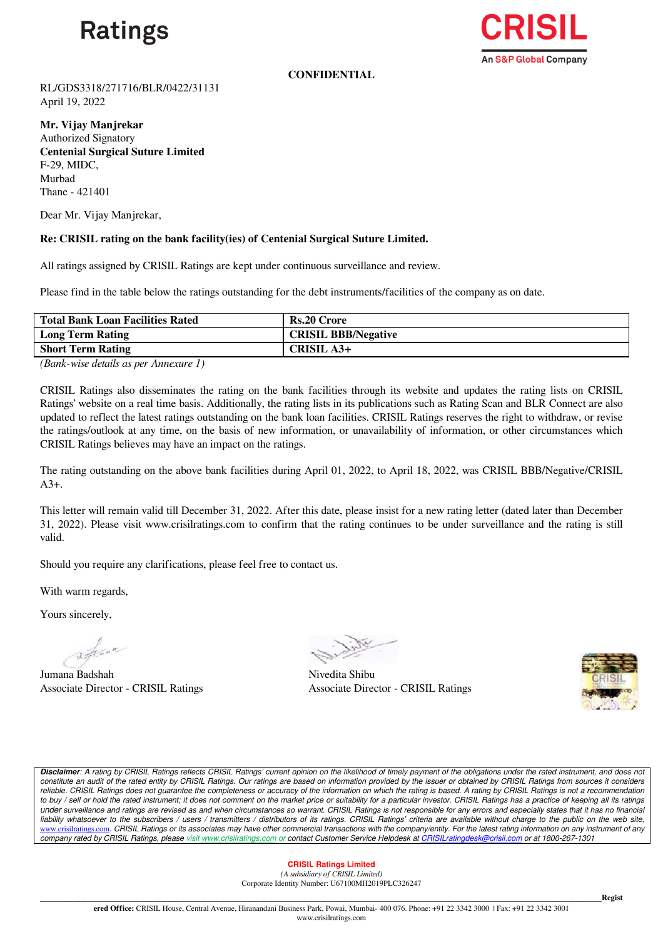

**An S&P Global Company** 

**CONFIDENTIAL**

RL/GDS3318/271716/BLR/0422/31131 April 19, 2022

**Mr. Vijay Manjrekar** Authorized Signatory **Centenial Surgical Suture Limited** F-29, MIDC, Murbad Thane - 421401

Dear Mr. Vijay Manjrekar,

## **Re: CRISIL rating on the bank facility(ies) of Centenial Surgical Suture Limited.**

All ratings assigned by CRISIL Ratings are kept under continuous surveillance and review.

Please find in the table below the ratings outstanding for the debt instruments/facilities of the company as on date.

| <b>Total Bank Loan Facilities Rated</b> | <b>Rs.20 Crore</b>         |
|-----------------------------------------|----------------------------|
| <b>Long Term Rating</b>                 | <b>CRISIL BBB/Negative</b> |
| <b>Short Term Rating</b>                | <b>CRISIL A3+</b>          |
|                                         |                            |

*(Bank-wise details as per Annexure 1)*

CRISIL Ratings also disseminates the rating on the bank facilities through its website and updates the rating lists on CRISIL Ratings' website on a real time basis. Additionally, the rating lists in its publications such as Rating Scan and BLR Connect are also updated to reflect the latest ratings outstanding on the bank loan facilities. CRISIL Ratings reserves the right to withdraw, or revise the ratings/outlook at any time, on the basis of new information, or unavailability of information, or other circumstances which CRISIL Ratings believes may have an impact on the ratings.

The rating outstanding on the above bank facilities during April 01, 2022, to April 18, 2022, was CRISIL BBB/Negative/CRISIL  $A^3+$ .

This letter will remain valid till December 31, 2022. After this date, please insist for a new rating letter (dated later than December 31, 2022). Please visit www.crisilratings.com to confirm that the rating continues to be under surveillance and the rating is still valid.

Should you require any clarifications, please feel free to contact us.

With warm regards,

Yours sincerely,

Wave

Jumana Badshah Nivedita Shibu Associate Director - CRISIL Ratings

Associate Director - CRISIL Ratings



*Disclaimer: A rating by CRISIL Ratings reflects CRISIL Ratings' current opinion on the likelihood of timely payment of the obligations under the rated instrument, and does not*  constitute an audit of the rated entity by CRISIL Ratings. Our ratings are based on information provided by the issuer or obtained by CRISIL Ratings from sources it considers reliable. CRISIL Ratings does not guarantee the completeness or accuracy of the information on which the rating is based. A rating by CRISIL Ratings is not a recommendation to buy / sell or hold the rated instrument; it does not comment on the market price or suitability for a particular investor. CRISIL Ratings has a practice of keeping all its ratings *under surveillance and ratings are revised as and when circumstances so warrant. CRISIL Ratings is not responsible for any errors and especially states that it has no financial*  liability whatsoever to the subscribers / users / transmitters / distributors of its ratings. CRISIL Ratings' criteria are available without charge to the public on the web site, [www.crisilratings.com](https://ind01.safelinks.protection.outlook.com/?url=http%3A%2F%2Fwww.crisilratings.com%2F&data=04%7C01%7CGude.Suryanarayana%40crisil.com%7Ccfee94fe0b3546aa5b0c08da17c76019%7C4d8b04bf7a7c48a0b6e338da5008297e%7C0%7C0%7C637848442366455053%7CUnknown%7CTWFpbGZsb3d8eyJWIjoiMC4wLjAwMDAiLCJQIjoiV2luMzIiLCJBTiI6Ik1haWwiLCJXVCI6Mn0%3D%7C3000&sdata=LRFha3%2FuqKohHjvr02HXOKSKTE6h7Ls3lQWaGu5TlxM%3D&reserved=0). CRISIL Ratings or its associates may have other commercial transactions with the company/entity. For the latest rating information on any instrument of any<br>
company rated by CRISIL Ratings, please vi *company rated by CRISIL Ratings, please visit [www.crisilratings.com](https://ind01.safelinks.protection.outlook.com/?url=http%3A%2F%2Fwww.crisilratings.com%2F&data=04%7C01%7CGude.Suryanarayana%40crisil.com%7Ccfee94fe0b3546aa5b0c08da17c76019%7C4d8b04bf7a7c48a0b6e338da5008297e%7C0%7C0%7C637848442366455053%7CUnknown%7CTWFpbGZsb3d8eyJWIjoiMC4wLjAwMDAiLCJQIjoiV2luMzIiLCJBTiI6Ik1haWwiLCJXVCI6Mn0%3D%7C3000&sdata=LRFha3%2FuqKohHjvr02HXOKSKTE6h7Ls3lQWaGu5TlxM%3D&reserved=0) or contact Customer Service Helpdesk at [CRISILratingdesk@crisil.com](mailto:CRISILratingdesk@crisil.com) or at 1800-267-1301*

## **CRISIL Ratings Limited**

*(A subsidiary of CRISIL Limited)*  Corporate Identity Number: U67100MH2019PLC326247